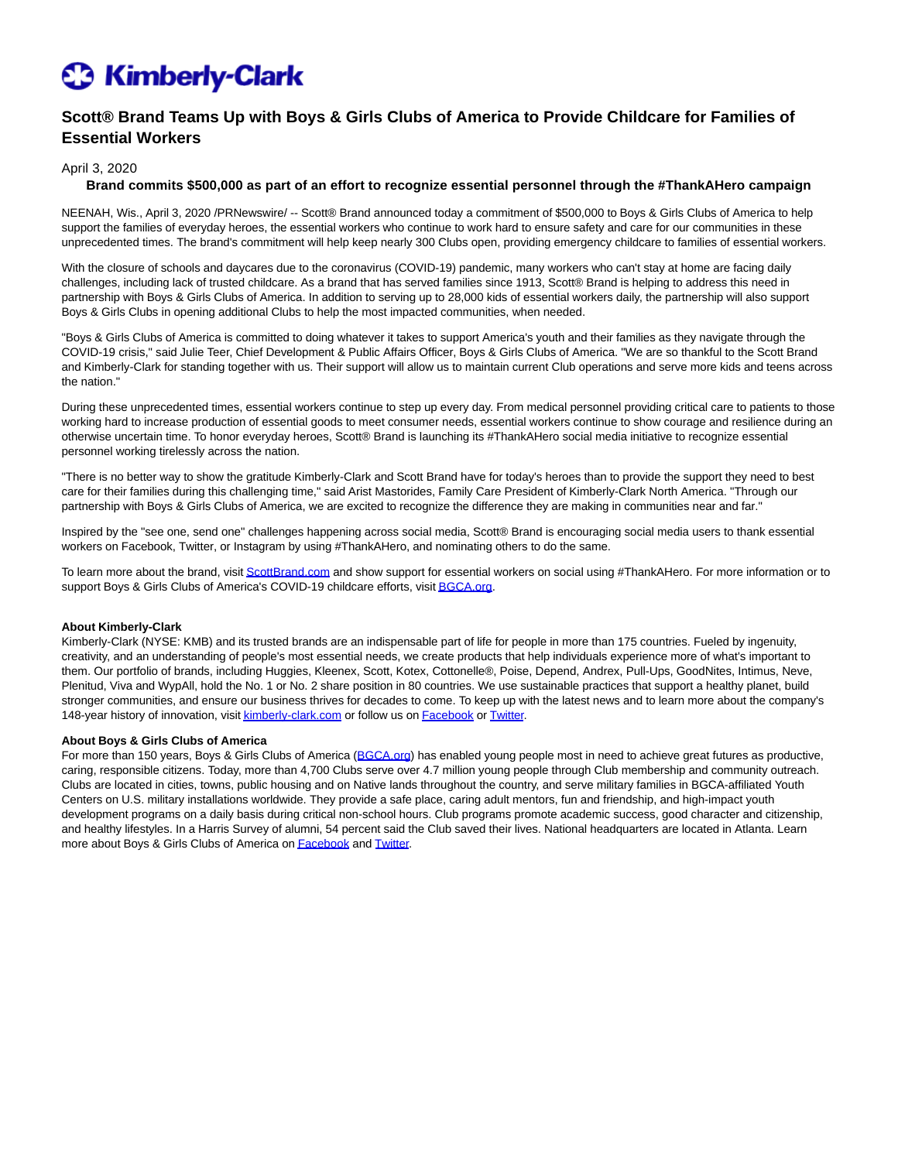## **C** Kimberly-Clark

### **Scott® Brand Teams Up with Boys & Girls Clubs of America to Provide Childcare for Families of Essential Workers**

### April 3, 2020

#### **Brand commits \$500,000 as part of an effort to recognize essential personnel through the #ThankAHero campaign**

NEENAH, Wis., April 3, 2020 /PRNewswire/ -- Scott® Brand announced today a commitment of \$500,000 to Boys & Girls Clubs of America to help support the families of everyday heroes, the essential workers who continue to work hard to ensure safety and care for our communities in these unprecedented times. The brand's commitment will help keep nearly 300 Clubs open, providing emergency childcare to families of essential workers.

With the closure of schools and daycares due to the coronavirus (COVID-19) pandemic, many workers who can't stay at home are facing daily challenges, including lack of trusted childcare. As a brand that has served families since 1913, Scott® Brand is helping to address this need in partnership with Boys & Girls Clubs of America. In addition to serving up to 28,000 kids of essential workers daily, the partnership will also support Boys & Girls Clubs in opening additional Clubs to help the most impacted communities, when needed.

"Boys & Girls Clubs of America is committed to doing whatever it takes to support America's youth and their families as they navigate through the COVID-19 crisis," said Julie Teer, Chief Development & Public Affairs Officer, Boys & Girls Clubs of America. "We are so thankful to the Scott Brand and Kimberly-Clark for standing together with us. Their support will allow us to maintain current Club operations and serve more kids and teens across the nation."

During these unprecedented times, essential workers continue to step up every day. From medical personnel providing critical care to patients to those working hard to increase production of essential goods to meet consumer needs, essential workers continue to show courage and resilience during an otherwise uncertain time. To honor everyday heroes, Scott® Brand is launching its #ThankAHero social media initiative to recognize essential personnel working tirelessly across the nation.

"There is no better way to show the gratitude Kimberly-Clark and Scott Brand have for today's heroes than to provide the support they need to best care for their families during this challenging time," said Arist Mastorides, Family Care President of Kimberly-Clark North America. "Through our partnership with Boys & Girls Clubs of America, we are excited to recognize the difference they are making in communities near and far."

Inspired by the "see one, send one" challenges happening across social media, Scott® Brand is encouraging social media users to thank essential workers on Facebook, Twitter, or Instagram by using #ThankAHero, and nominating others to do the same.

To learn more about the brand, visi[t ScottBrand.com a](https://c212.net/c/link/?t=0&l=en&o=2768994-1&h=3503716765&u=https%3A%2F%2Fwww.scottbrand.com%2Fen-us%2F&a=ScottBrand.com)nd show support for essential workers on social using #ThankAHero. For more information or to support Boys & Girls Clubs of America's COVID-19 childcare efforts, visi[t BGCA.org.](https://c212.net/c/link/?t=0&l=en&o=2768994-1&h=550826515&u=https%3A%2F%2Fwww.bgca.org%2Fabout-us%2Fchild-safety%2FBoys-Girls-Clubs-Response-to-COVID-19&a=BGCA.org)

#### **About Kimberly-Clark**

Kimberly-Clark (NYSE: KMB) and its trusted brands are an indispensable part of life for people in more than 175 countries. Fueled by ingenuity, creativity, and an understanding of people's most essential needs, we create products that help individuals experience more of what's important to them. Our portfolio of brands, including Huggies, Kleenex, Scott, Kotex, Cottonelle®, Poise, Depend, Andrex, Pull-Ups, GoodNites, Intimus, Neve, Plenitud, Viva and WypAll, hold the No. 1 or No. 2 share position in 80 countries. We use sustainable practices that support a healthy planet, build stronger communities, and ensure our business thrives for decades to come. To keep up with the latest news and to learn more about the company's 148-year history of innovation, visi[t kimberly-clark.com o](https://c212.net/c/link/?t=0&l=en&o=2768994-1&h=269740347&u=https%3A%2F%2Furldefense.proofpoint.com%2Fv2%2Furl%3Fu%3Dhttp-3A__www.kimberly-2Dclark.com_%26d%3DDwMFAg%26c%3D9wxE0DgWbPxd1HCzjwN8Eaww1--ViDajIU4RXCxgSXE%26r%3D1c79Cv3OPkJSdNO5Xcwy_afBMAQfJkwq3zku2TqZ3Vk%26m%3D_lHPZzJl_kAz4BUIV8n6kzpmOHG_7T_b4CpkZGAyX1U%26s%3DTR3wfxRBw3bPTJ8H6J6JNocQBKNbr8lXfdS7VzJj80c%26e%3D&a=kimberly-clark.com)r follow us on [Facebook o](https://c212.net/c/link/?t=0&l=en&o=2768994-1&h=3012615207&u=https%3A%2F%2Furldefense.proofpoint.com%2Fv2%2Furl%3Fu%3Dhttps-3A__www.facebook.com_KimberlyClarkCorp%26d%3DDwMFAg%26c%3D9wxE0DgWbPxd1HCzjwN8Eaww1--ViDajIU4RXCxgSXE%26r%3D1c79Cv3OPkJSdNO5Xcwy_afBMAQfJkwq3zku2TqZ3Vk%26m%3D_lHPZzJl_kAz4BUIV8n6kzpmOHG_7T_b4CpkZGAyX1U%26s%3D4rMW4BuGHtNTRXp_hGJLn-Fx3-w3-Vmfg4HBGhr-y4Y%26e%3D&a=Facebook)[r Twitter.](https://c212.net/c/link/?t=0&l=en&o=2768994-1&h=243007574&u=https%3A%2F%2Furldefense.proofpoint.com%2Fv2%2Furl%3Fu%3Dhttps-3A__twitter.com_KCCorp%26d%3DDwMFAg%26c%3D9wxE0DgWbPxd1HCzjwN8Eaww1--ViDajIU4RXCxgSXE%26r%3D1c79Cv3OPkJSdNO5Xcwy_afBMAQfJkwq3zku2TqZ3Vk%26m%3D_lHPZzJl_kAz4BUIV8n6kzpmOHG_7T_b4CpkZGAyX1U%26s%3Dv5FGbph-DmZL2ddfpf3EHbSvMKbXSlT97vHh2-bJXbI%26e%3D&a=Twitter)

#### **About Boys & Girls Clubs of America**

For more than 150 years, Boys & Girls Clubs of America [\(BGCA.org\)](https://c212.net/c/link/?t=0&l=en&o=2768994-1&h=2822667200&u=https%3A%2F%2Fwww.bgca.org%2F&a=BGCA.org) has enabled young people most in need to achieve great futures as productive, caring, responsible citizens. Today, more than 4,700 Clubs serve over 4.7 million young people through Club membership and community outreach. Clubs are located in cities, towns, public housing and on Native lands throughout the country, and serve military families in BGCA-affiliated Youth Centers on U.S. military installations worldwide. They provide a safe place, caring adult mentors, fun and friendship, and high-impact youth development programs on a daily basis during critical non-school hours. Club programs promote academic success, good character and citizenship, and healthy lifestyles. In a Harris Survey of alumni, 54 percent said the Club saved their lives. National headquarters are located in Atlanta. Learn more about Boys & Girls Clubs of America o[n Facebook a](https://c212.net/c/link/?t=0&l=en&o=2768994-1&h=1322082291&u=https%3A%2F%2Fwww.facebook.com%2Fbgca.clubs%2F&a=Facebook)nd [Twitter.](https://c212.net/c/link/?t=0&l=en&o=2768994-1&h=3691281726&u=https%3A%2F%2Ftwitter.com%2FBGCA_Clubs&a=Twitter)